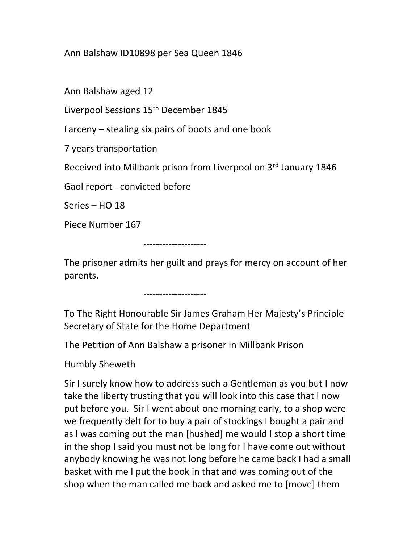## Ann Balshaw ID10898 per Sea Queen 1846

Ann Balshaw aged 12

Liverpool Sessions 15<sup>th</sup> December 1845

Larceny – stealing six pairs of boots and one book

7 years transportation

Received into Millbank prison from Liverpool on 3rd January 1846

Gaol report - convicted before

 $Series - HO 18$ 

Piece Number 167

--------------------

The prisoner admits her guilt and prays for mercy on account of her parents.

--------------------

To The Right Honourable Sir James Graham Her Majesty's Principle Secretary of State for the Home Department

The Petition of Ann Balshaw a prisoner in Millbank Prison

Humbly Sheweth

Sir I surely know how to address such a Gentleman as you but I now take the liberty trusting that you will look into this case that I now put before you. Sir I went about one morning early, to a shop were we frequently delt for to buy a pair of stockings I bought a pair and as I was coming out the man [hushed] me would I stop a short time in the shop I said you must not be long for I have come out without anybody knowing he was not long before he came back I had a small basket with me I put the book in that and was coming out of the shop when the man called me back and asked me to [move] them